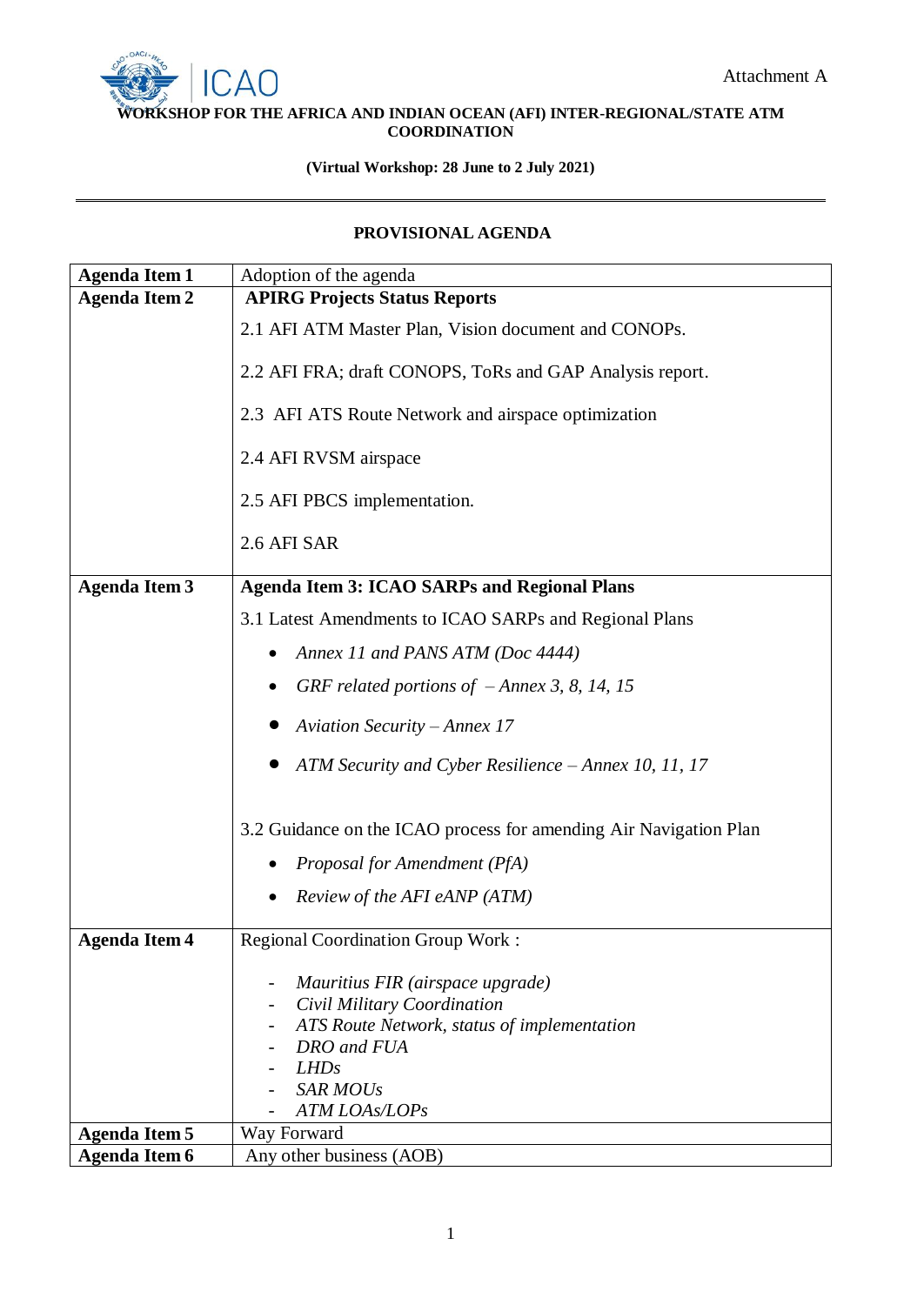

## **WORKSHOP FOR THE AFRICA AND INDIAN OCEAN (AFI) INTER-REGIONAL/STATE ATM COORDINATION**

## **(Virtual Workshop: 28 June to 2 July 2021)**

## **PROVISIONAL AGENDA**

| <b>Agenda Item 1</b> | Adoption of the agenda                                            |
|----------------------|-------------------------------------------------------------------|
| <b>Agenda Item 2</b> | <b>APIRG Projects Status Reports</b>                              |
|                      | 2.1 AFI ATM Master Plan, Vision document and CONOPs.              |
|                      | 2.2 AFI FRA; draft CONOPS, ToRs and GAP Analysis report.          |
|                      | 2.3 AFI ATS Route Network and airspace optimization               |
|                      | 2.4 AFI RVSM airspace                                             |
|                      | 2.5 AFI PBCS implementation.                                      |
|                      | 2.6 AFI SAR                                                       |
| <b>Agenda Item 3</b> | <b>Agenda Item 3: ICAO SARPs and Regional Plans</b>               |
|                      | 3.1 Latest Amendments to ICAO SARPs and Regional Plans            |
|                      | Annex 11 and PANS ATM (Doc 4444)                                  |
|                      | GRF related portions of $-Annex$ 3, 8, 14, 15                     |
|                      |                                                                   |
|                      | <b>Aviation Security - Annex 17</b>                               |
|                      | ATM Security and Cyber Resilience - Annex 10, 11, 17              |
|                      | 3.2 Guidance on the ICAO process for amending Air Navigation Plan |
|                      | Proposal for Amendment (PfA)                                      |
|                      | Review of the AFI eANP (ATM)                                      |
| <b>Agenda Item 4</b> | <b>Regional Coordination Group Work:</b>                          |
|                      | Mauritius FIR (airspace upgrade)                                  |
|                      | Civil Military Coordination                                       |
|                      | ATS Route Network, status of implementation                       |
|                      | DRO and FUA                                                       |
|                      | LHDs<br><b>SAR MOUs</b>                                           |
|                      | ATM LOAs/LOPs                                                     |
| <b>Agenda Item 5</b> | Way Forward                                                       |
| <b>Agenda Item 6</b> | Any other business (AOB)                                          |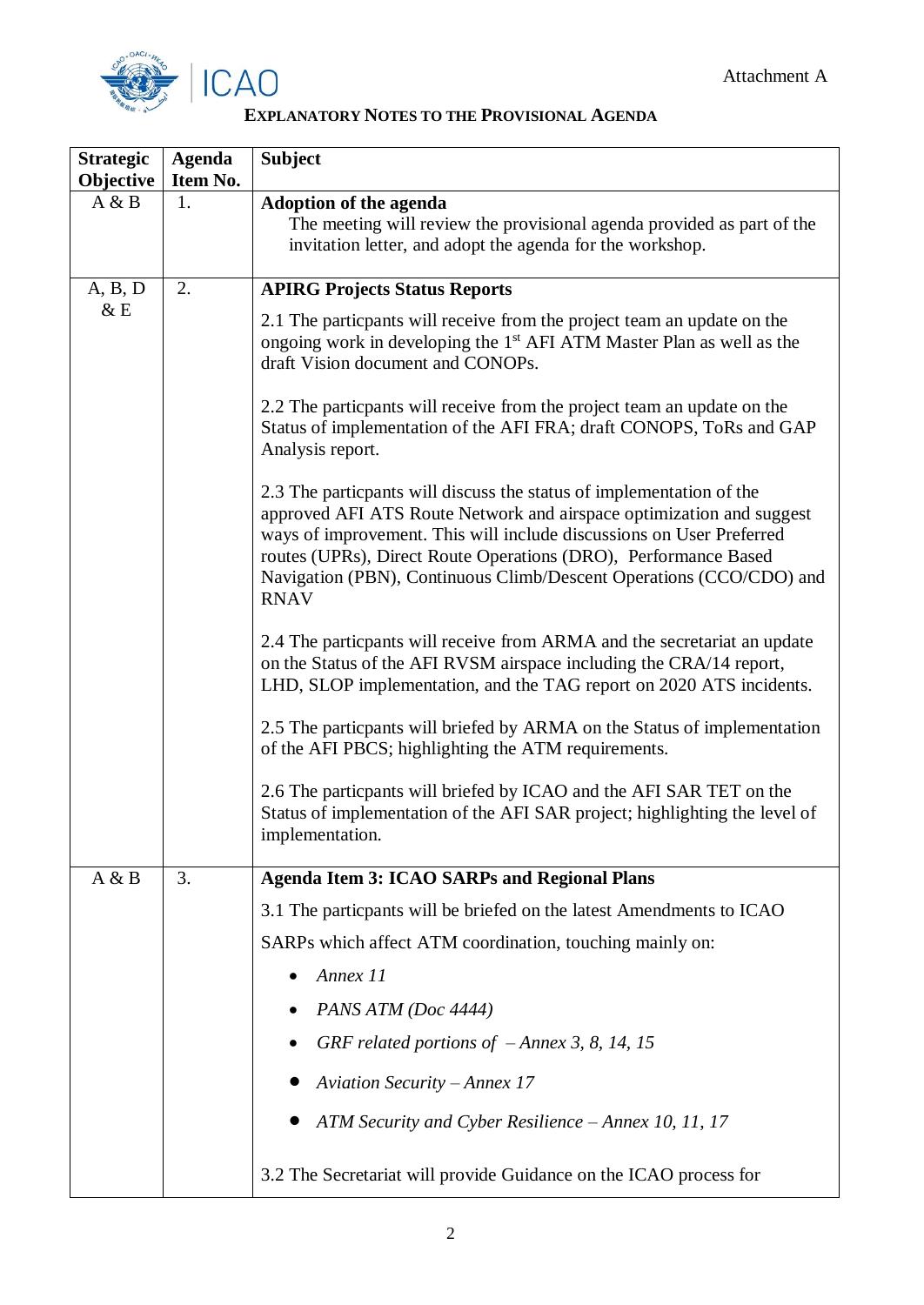



## **EXPLANATORY NOTES TO THE PROVISIONAL AGENDA**

| <b>Strategic</b><br>Objective | <b>Agenda</b><br>Item No. | <b>Subject</b>                                                                                                                                                                                                                                                                                                                                                                |
|-------------------------------|---------------------------|-------------------------------------------------------------------------------------------------------------------------------------------------------------------------------------------------------------------------------------------------------------------------------------------------------------------------------------------------------------------------------|
| A & B                         | 1.                        | <b>Adoption of the agenda</b><br>The meeting will review the provisional agenda provided as part of the<br>invitation letter, and adopt the agenda for the workshop.                                                                                                                                                                                                          |
| A, B, D                       | 2.                        | <b>APIRG Projects Status Reports</b>                                                                                                                                                                                                                                                                                                                                          |
| &E                            |                           | 2.1 The particpants will receive from the project team an update on the<br>ongoing work in developing the 1 <sup>st</sup> AFI ATM Master Plan as well as the<br>draft Vision document and CONOPs.                                                                                                                                                                             |
|                               |                           | 2.2 The particpants will receive from the project team an update on the<br>Status of implementation of the AFI FRA; draft CONOPS, ToRs and GAP<br>Analysis report.                                                                                                                                                                                                            |
|                               |                           | 2.3 The particpants will discuss the status of implementation of the<br>approved AFI ATS Route Network and airspace optimization and suggest<br>ways of improvement. This will include discussions on User Preferred<br>routes (UPRs), Direct Route Operations (DRO), Performance Based<br>Navigation (PBN), Continuous Climb/Descent Operations (CCO/CDO) and<br><b>RNAV</b> |
|                               |                           | 2.4 The particpants will receive from ARMA and the secretariat an update<br>on the Status of the AFI RVSM airspace including the CRA/14 report,<br>LHD, SLOP implementation, and the TAG report on 2020 ATS incidents.                                                                                                                                                        |
|                               |                           | 2.5 The particpants will briefed by ARMA on the Status of implementation<br>of the AFI PBCS; highlighting the ATM requirements.                                                                                                                                                                                                                                               |
|                               |                           | 2.6 The particpants will briefed by ICAO and the AFI SAR TET on the<br>Status of implementation of the AFI SAR project; highlighting the level of<br>implementation.                                                                                                                                                                                                          |
| A & B                         | 3.                        | <b>Agenda Item 3: ICAO SARPs and Regional Plans</b>                                                                                                                                                                                                                                                                                                                           |
|                               |                           | 3.1 The particpants will be briefed on the latest Amendments to ICAO                                                                                                                                                                                                                                                                                                          |
|                               |                           | SARPs which affect ATM coordination, touching mainly on:                                                                                                                                                                                                                                                                                                                      |
|                               |                           | Annex 11                                                                                                                                                                                                                                                                                                                                                                      |
|                               |                           | PANS ATM (Doc 4444)                                                                                                                                                                                                                                                                                                                                                           |
|                               |                           | GRF related portions of $-Annex$ 3, 8, 14, 15                                                                                                                                                                                                                                                                                                                                 |
|                               |                           | <b>Aviation Security - Annex 17</b>                                                                                                                                                                                                                                                                                                                                           |
|                               |                           | ATM Security and Cyber Resilience - Annex 10, 11, 17                                                                                                                                                                                                                                                                                                                          |
|                               |                           | 3.2 The Secretariat will provide Guidance on the ICAO process for                                                                                                                                                                                                                                                                                                             |